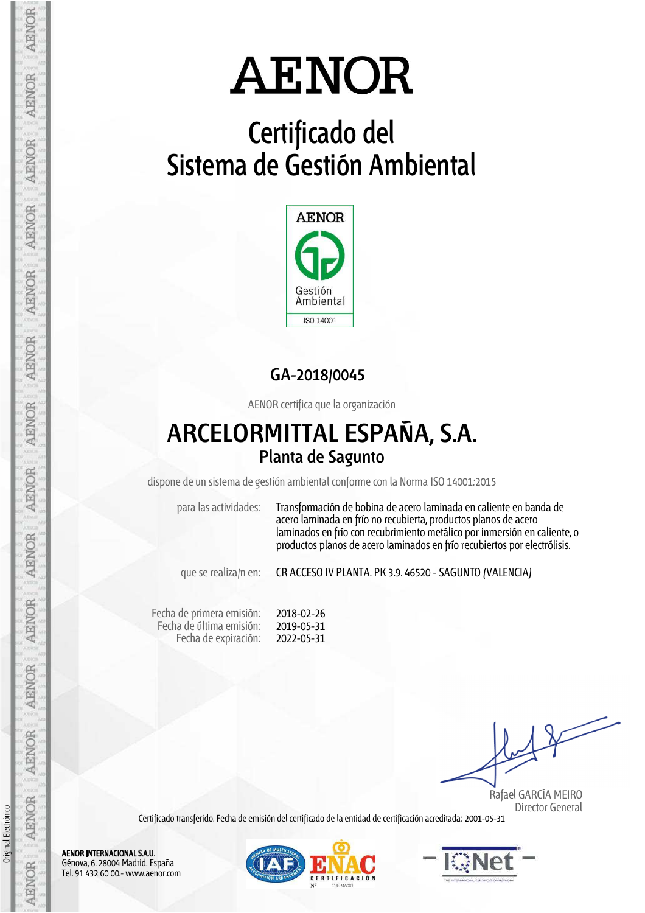# **Certificado del Sistema de Gestión Ambiental**



### **GA-2018/0045**

AENOR certifica que la organización

## **ARCELORMITTAL ESPAÑA, S.A. Planta de Sagunto**

dispone de un sistema de gestión ambiental conforme con la Norma ISO 14001:2015

para las actividades: Transformación de bobina de acero laminada en caliente en banda de acero laminada en frío no recubierta, productos planos de acero laminados en frío con recubrimiento metálico por inmersión en caliente, o productos planos de acero laminados en frío recubiertos por electrólisis.

que se realiza/n en: CR ACCESO IV PLANTA. PK 3.9. 46520 - SAGUNTO (VALENCIA)

Fecha de primera emisión: Fecha de última emisión: Fecha de expiración: 2018-02-26 2019-05-31 2022-05-31

 Rafael GARCÍA MEIRO Director General

Certificado transferido. Fecha de emisión del certificado de la entidad de certificación acreditada: 2001-05-31

AENOR INTERNACIONAL S.A.U. Génova, 6. 28004 Madrid. España Tel. 91 432 60 00.- www.aenor.com

Original Electrónico

Original Electrónico

AENOR

AENOR

**AENOR** 

**AENOR** 

AENOR

AENOR

AENOR

**AENOR** 

**ARNOR** 

AENOR

AENOR

AENOR

**AENOR** 

AENOR